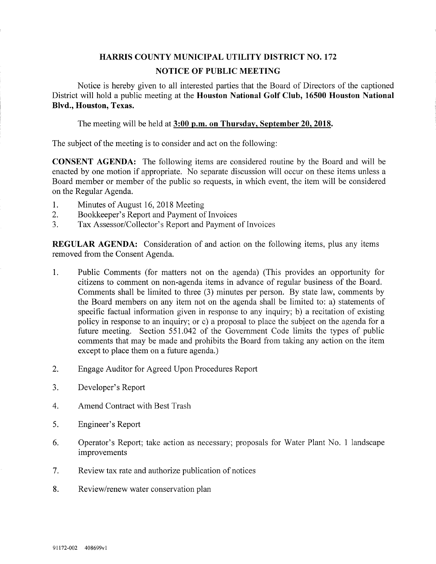## HARRIS COUNTY MUNICIPAL UTILITY DISTRICT NO. 172 NOTICE OF PUBLIC MEETING

Notice is hereby given to all interested parties that the Board of Directors of the captioned District will hold a public meeting at the Houston National Golf Club, 16500 Houston National Blvd., Houston, Texas.

The meeting will be held at 3:00 p.m. on Thursday, September 20, 2018.

The subject of the meeting is to consider and act on the following:

CONSENT AGENDA: The following items are considered routine by the Board and will be enacted by one motion if appropriate. No separate discussion will occur on these items unless a Board member or member of the public so requests, in which event, the item will be considered on the Regular Agenda.

- 1. Minutes of August 16,2018 Meeting
- 2. Bookkeeper's Report and Payment of Invoices
- 3. Tax Assessor/Collector's Report and Payment of Invoices

REGULAR AGENDA: Consideration of and action on the following items, plus any items removed from the Consent Agenda.

- 1. Public Comments (for matters not on the agenda) (This provides an opportunity for citizens to comment on non-agenda items in advance of regular business of the Board. Comments shall be limited to three (3) minutes per person. By state law, comments by the Board members on any item not on the agenda shall be limited to: a) statements of specific factual information given in response to any inquiry; b) a recitation of existing policy in response to an inquiry; or c) a proposal to place the subject on the agenda for a future meeting. Section 551.042 of the Government Code limits the types of public comments that may be made and prohibits the Board from taking any action on the item except to place them on a future agenda.)
- 2, Engage Auditor for Agreed Upon Procedures Report
- 3. Developer's Report
- 4. Amend Contract with Best Trash
- 5. Engineer's Report
- 6. Operator's Report; take action as necessary; proposals for Water Plant No. 1 landscape improvements
- 7. Review tax rate and authorize publication of notices
- 8. Review/renew water conservation plan